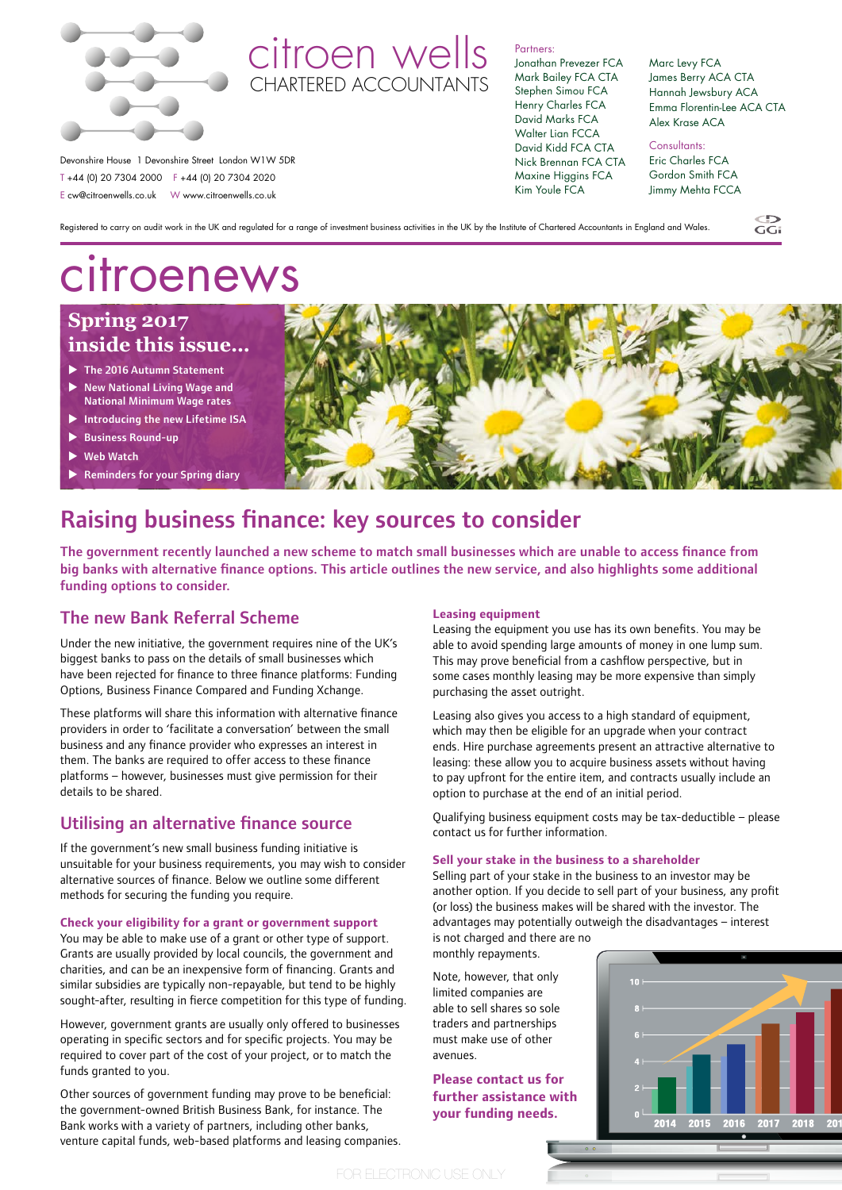

# citroen wells CHARTERED ACCOUNTANTS

Registered to carry on audit work in the UK and regulated for a range of investment business activities in the UK by the Institute of Chartered Accountants in England and Wales.

Partners: Jonathan Prevezer FCA

Mark Bailey FCA CTA Stephen Simou FCA Henry Charles FCA David Marks FCA Walter Lian FCCA

Kim Youle FCA

Marc Levy FCA James Berry ACA CTA Hannah Jewsbury ACA Emma Florentin-Lee ACA CTA Alex Krase ACA

Jimmy Mehta FCCA

Devonshire House 1 Devonshire Street London W1W 5DR T +44 (0) 20 7304 2000 F +44 (0) 20 7304 2020 E cw@citroenwells.co.uk W www.citroenwells.co.uk

David Kidd FCA CTA Nick Brennan FCA CTA Maxine Higgins FCA Consultants: Eric Charles FCA Gordon Smith FCA

 $\widetilde{GC}$ 

citroenews

# **Spring 2017 inside this issue…**

- $\blacktriangleright$  The 2016 Autumn Statement
- **New National Living Wage and**
- National Minimum Wage rates Introducing the new Lifetime ISA
- $\blacktriangleright$  Business Round-up
- 
- **Web Watch**
- **Reminders for your Spring diary**

# Raising business finance: key sources to consider

The government recently launched a new scheme to match small businesses which are unable to access finance from big banks with alternative finance options. This article outlines the new service, and also highlights some additional funding options to consider.

## The new Bank Referral Scheme

Under the new initiative, the government requires nine of the UK's biggest banks to pass on the details of small businesses which have been rejected for finance to three finance platforms: Funding Options, Business Finance Compared and Funding Xchange.

These platforms will share this information with alternative finance providers in order to 'facilitate a conversation' between the small business and any finance provider who expresses an interest in them. The banks are required to offer access to these finance platforms – however, businesses must give permission for their details to be shared.

### Utilising an alternative finance source

If the government's new small business funding initiative is unsuitable for your business requirements, you may wish to consider alternative sources of finance. Below we outline some different methods for securing the funding you require.

**Check your eligibility for a grant or government support**

You may be able to make use of a grant or other type of support. Grants are usually provided by local councils, the government and charities, and can be an inexpensive form of financing. Grants and similar subsidies are typically non-repayable, but tend to be highly sought-after, resulting in fierce competition for this type of funding.

However, government grants are usually only offered to businesses operating in specific sectors and for specific projects. You may be required to cover part of the cost of your project, or to match the funds granted to you.

Other sources of government funding may prove to be beneficial: the government-owned British Business Bank, for instance. The Bank works with a variety of partners, including other banks, venture capital funds, web-based platforms and leasing companies.

### **Leasing equipment**

Leasing the equipment you use has its own benefits. You may be able to avoid spending large amounts of money in one lump sum. This may prove beneficial from a cashflow perspective, but in some cases monthly leasing may be more expensive than simply purchasing the asset outright.

Leasing also gives you access to a high standard of equipment, which may then be eligible for an upgrade when your contract ends. Hire purchase agreements present an attractive alternative to leasing: these allow you to acquire business assets without having to pay upfront for the entire item, and contracts usually include an option to purchase at the end of an initial period.

Qualifying business equipment costs may be tax-deductible – please contact us for further information.

#### **Sell your stake in the business to a shareholder**

Selling part of your stake in the business to an investor may be another option. If you decide to sell part of your business, any profit (or loss) the business makes will be shared with the investor. The advantages may potentially outweigh the disadvantages – interest is not charged and there are no

monthly repayments.

Note, however, that only limited companies are able to sell shares so sole traders and partnerships must make use of other avenues.

**Please contact us for further assistance with your funding needs.**

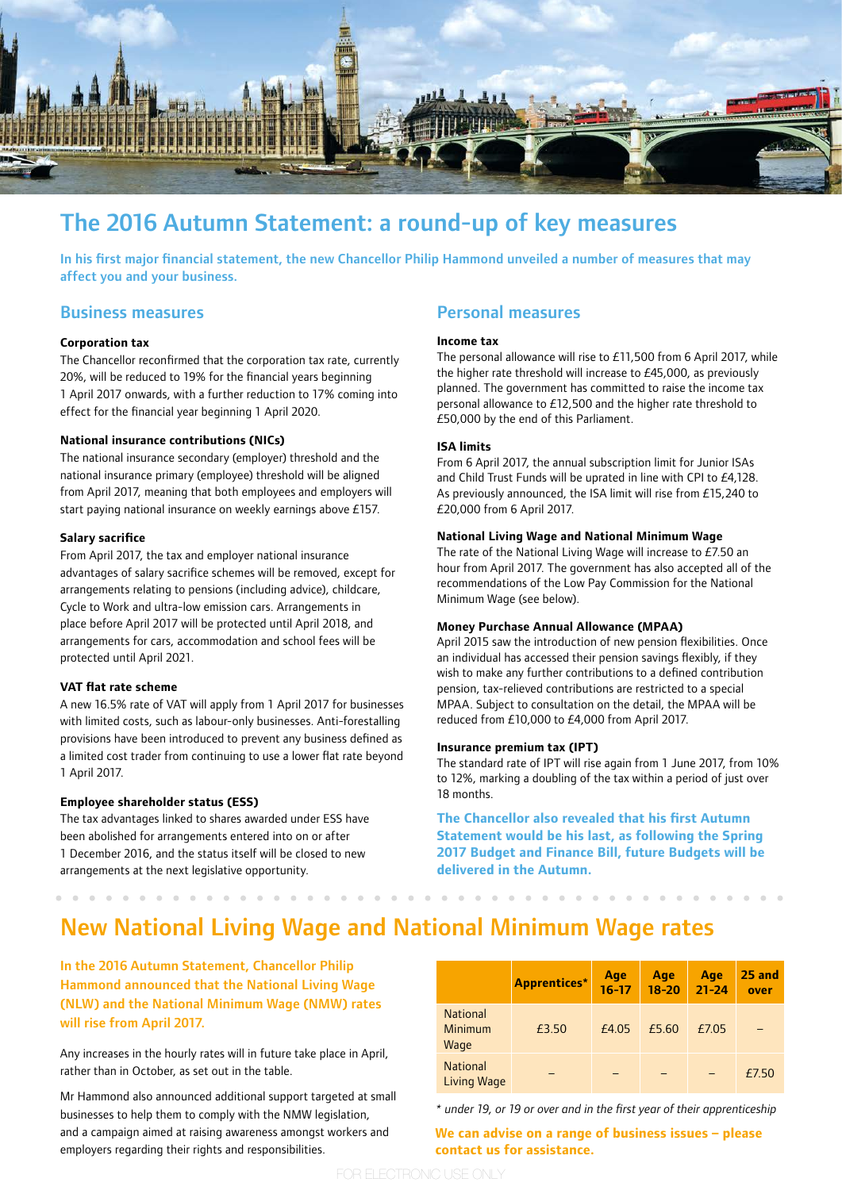

# The 2016 Autumn Statement: a round-up of key measures

In his first major financial statement, the new Chancellor Philip Hammond unveiled a number of measures that may affect you and your business.

#### Business measures

#### **Corporation tax**

The Chancellor reconfirmed that the corporation tax rate, currently 20%, will be reduced to 19% for the financial years beginning 1 April 2017 onwards, with a further reduction to 17% coming into effect for the financial year beginning 1 April 2020.

#### **National insurance contributions (NICs)**

The national insurance secondary (employer) threshold and the national insurance primary (employee) threshold will be aligned from April 2017, meaning that both employees and employers will start paying national insurance on weekly earnings above £157.

#### **Salary sacrifice**

From April 2017, the tax and employer national insurance advantages of salary sacrifice schemes will be removed, except for arrangements relating to pensions (including advice), childcare, Cycle to Work and ultra-low emission cars. Arrangements in place before April 2017 will be protected until April 2018, and arrangements for cars, accommodation and school fees will be protected until April 2021.

#### **VAT flat rate scheme**

A new 16.5% rate of VAT will apply from 1 April 2017 for businesses with limited costs, such as labour-only businesses. Anti-forestalling provisions have been introduced to prevent any business defined as a limited cost trader from continuing to use a lower flat rate beyond 1 April 2017.

#### **Employee shareholder status (ESS)**

The tax advantages linked to shares awarded under ESS have been abolished for arrangements entered into on or after 1 December 2016, and the status itself will be closed to new arrangements at the next legislative opportunity.

### Personal measures

#### **Income tax**

The personal allowance will rise to £11,500 from 6 April 2017, while the higher rate threshold will increase to £45,000, as previously planned. The government has committed to raise the income tax personal allowance to £12,500 and the higher rate threshold to £50,000 by the end of this Parliament.

#### **ISA limits**

From 6 April 2017, the annual subscription limit for Junior ISAs and Child Trust Funds will be uprated in line with CPI to £4,128. As previously announced, the ISA limit will rise from £15,240 to £20,000 from 6 April 2017.

#### **National Living Wage and National Minimum Wage**

The rate of the National Living Wage will increase to £7.50 an hour from April 2017. The government has also accepted all of the recommendations of the Low Pay Commission for the National Minimum Wage (see below).

#### **Money Purchase Annual Allowance (MPAA)**

April 2015 saw the introduction of new pension flexibilities. Once an individual has accessed their pension savings flexibly, if they wish to make any further contributions to a defined contribution pension, tax-relieved contributions are restricted to a special MPAA. Subject to consultation on the detail, the MPAA will be reduced from £10,000 to £4,000 from April 2017.

#### **Insurance premium tax (IPT)**

The standard rate of IPT will rise again from 1 June 2017, from 10% to 12%, marking a doubling of the tax within a period of just over 18 months.

**The Chancellor also revealed that his first Autumn Statement would be his last, as following the Spring 2017 Budget and Finance Bill, future Budgets will be delivered in the Autumn.**

# New National Living Wage and National Minimum Wage rates

In the 2016 Autumn Statement, Chancellor Philip Hammond announced that the National Living Wage (NLW) and the National Minimum Wage (NMW) rates will rise from April 2017.

Any increases in the hourly rates will in future take place in April, rather than in October, as set out in the table.

Mr Hammond also announced additional support targeted at small businesses to help them to comply with the NMW legislation, and a campaign aimed at raising awareness amongst workers and employers regarding their rights and responsibilities.

|                                    | <b>Apprentices*</b> | Age<br>$16 - 17$ | Age<br>$18 - 20$ | Age<br>$21 - 24$ | 25 and<br>over |
|------------------------------------|---------------------|------------------|------------------|------------------|----------------|
| <b>National</b><br>Minimum<br>Wage | £3.50               | £4.05            | £5.60            | £7.05            |                |
| <b>National</b><br>Living Wage     |                     |                  |                  |                  | £7.50          |

*\* under 19, or 19 or over and in the first year of their apprenticeship*

**We can advise on a range of business issues – please contact us for assistance.**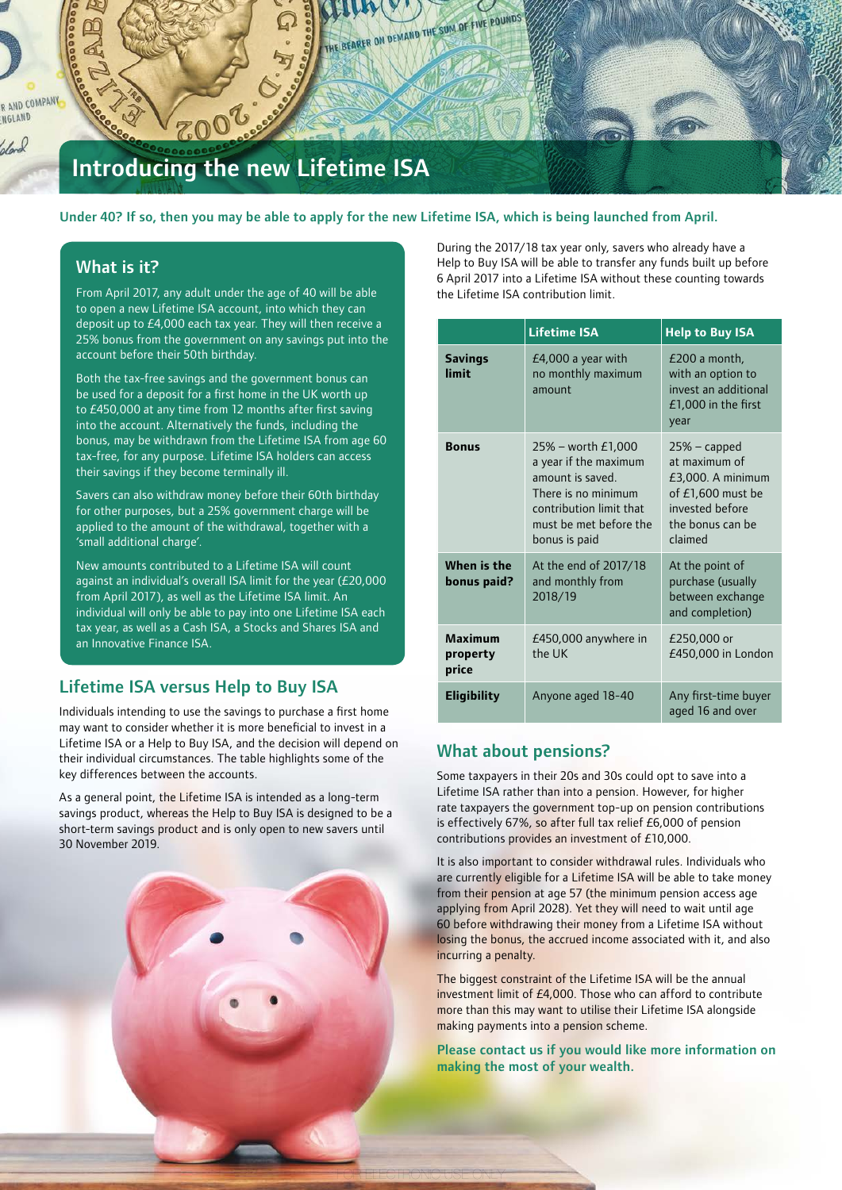R AND COMPANY NGLAND dond

# Introducing the new Lifetime ISA

#### Under 40? If so, then you may be able to apply for the new Lifetime ISA, which is being launched from April.

THE BEARER ON DEMAND THE SUM OF FIVE POUNDS

### What is it?

From April 2017, any adult under the age of 40 will be able to open a new Lifetime ISA account, into which they can deposit up to £4,000 each tax year. They will then receive a 25% bonus from the government on any savings put into the account before their 50th birthday.

Both the tax-free savings and the government bonus can be used for a deposit for a first home in the UK worth up to £450,000 at any time from 12 months after first saving into the account. Alternatively the funds, including the bonus, may be withdrawn from the Lifetime ISA from age 60 tax-free, for any purpose. Lifetime ISA holders can access their savings if they become terminally ill.

Savers can also withdraw money before their 60th birthday for other purposes, but a 25% government charge will be applied to the amount of the withdrawal, together with a 'small additional charge'.

New amounts contributed to a Lifetime ISA will count against an individual's overall ISA limit for the year (£20,000 from April 2017), as well as the Lifetime ISA limit. An individual will only be able to pay into one Lifetime ISA each tax year, as well as a Cash ISA, a Stocks and Shares ISA and an Innovative Finance ISA.

### Lifetime ISA versus Help to Buy ISA

Individuals intending to use the savings to purchase a first home may want to consider whether it is more beneficial to invest in a Lifetime ISA or a Help to Buy ISA, and the decision will depend on their individual circumstances. The table highlights some of the key differences between the accounts.

As a general point, the Lifetime ISA is intended as a long-term savings product, whereas the Help to Buy ISA is designed to be a short-term savings product and is only open to new savers until 30 November 2019.



During the 2017/18 tax year only, savers who already have a Help to Buy ISA will be able to transfer any funds built up before 6 April 2017 into a Lifetime ISA without these counting towards the Lifetime ISA contribution limit.

|                              | <b>Lifetime ISA</b>                                                                                                                                             | <b>Help to Buy ISA</b>                                                                                                        |  |
|------------------------------|-----------------------------------------------------------------------------------------------------------------------------------------------------------------|-------------------------------------------------------------------------------------------------------------------------------|--|
| <b>Savings</b><br>limit      | $E4,000$ a year with<br>no monthly maximum<br>amoint                                                                                                            | $E200$ a month,<br>with an option to<br>invest an additional<br>$£1,000$ in the first<br>year                                 |  |
| <b>Bonus</b>                 | $25\%$ – worth £1,000<br>a year if the maximum<br>amount is saved.<br>There is no minimum<br>contribution limit that<br>must be met before the<br>bonus is paid | $25%$ – capped<br>at maximum of<br>$£3,000.$ A minimum<br>of £1,600 must be<br>invested before<br>the bonus can be<br>claimed |  |
| When is the<br>bonus paid?   | At the end of 2017/18<br>and monthly from<br>2018/19                                                                                                            | At the point of<br>purchase (usually<br>between exchange<br>and completion)                                                   |  |
| Maximum<br>property<br>price | £450,000 anywhere in<br>the UK                                                                                                                                  | £250,000 or<br>£450,000 in London                                                                                             |  |
| <b>Eligibility</b>           | Anyone aged 18-40                                                                                                                                               | Any first-time buyer<br>aged 16 and over                                                                                      |  |

### What about pensions?

FOR ELECTRONIC USE ONLY

Some taxpayers in their 20s and 30s could opt to save into a Lifetime ISA rather than into a pension. However, for higher rate taxpayers the government top-up on pension contributions is effectively 67%, so after full tax relief £6,000 of pension contributions provides an investment of £10,000.

It is also important to consider withdrawal rules. Individuals who are currently eligible for a Lifetime ISA will be able to take money from their pension at age 57 (the minimum pension access age applying from April 2028). Yet they will need to wait until age 60 before withdrawing their money from a Lifetime ISA without losing the bonus, the accrued income associated with it, and also incurring a penalty.

The biggest constraint of the Lifetime ISA will be the annual investment limit of £4,000. Those who can afford to contribute more than this may want to utilise their Lifetime ISA alongside making payments into a pension scheme.

Please contact us if you would like more information on making the most of your wealth.